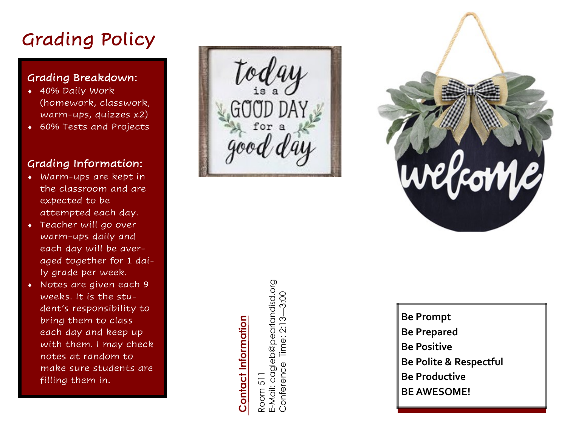# Grading Policy

#### Grading Breakdown:

- 40% Daily Work (homework, classwork, warm -ups, quizzes x2)
- 60% Tests and Projects

#### Grading Information:

- Warm-ups are kept in the classroom and are expected to be attempted each day.
- Teacher will go over warm -ups daily and each day will be averaged together for 1 daily grade per week.
- Notes are given each 9 weeks. It is the student's responsibility to bring them to class each day and keep up with them. I may check notes at random to make sure students are filling them in.

Grading Policy<br>
Grading Breakdown:<br>  $\begin{bmatrix}\n\text{for all } y \text{ for } z \text{ to } z\end{bmatrix}$ <br>  $\begin{bmatrix}\n\text{for all } y \text{ for } z \text{ to } z\end{bmatrix}$ <br>  $\begin{bmatrix}\n\text{for all } z \text{ for } z \text{ to } z\end{bmatrix}$ <br>  $\begin{bmatrix}\n\text{for all } z \text{ for } z \text{ to } z\end{bmatrix}$ <br>  $\begin{bmatrix}\n\text{for all } z \text{ for } z \text{ to } z\end{bmatrix}$ <br>  $\begin{b$ 



# **Contact Information**

Room 511<br>E-Mail: cagleb@pearlandisd.org<br>Conference Time: 2:13—3:00

**Be Prompt Be Prepared Be Positive Be Polite & Respectful Be Productive BE AWESOME!**